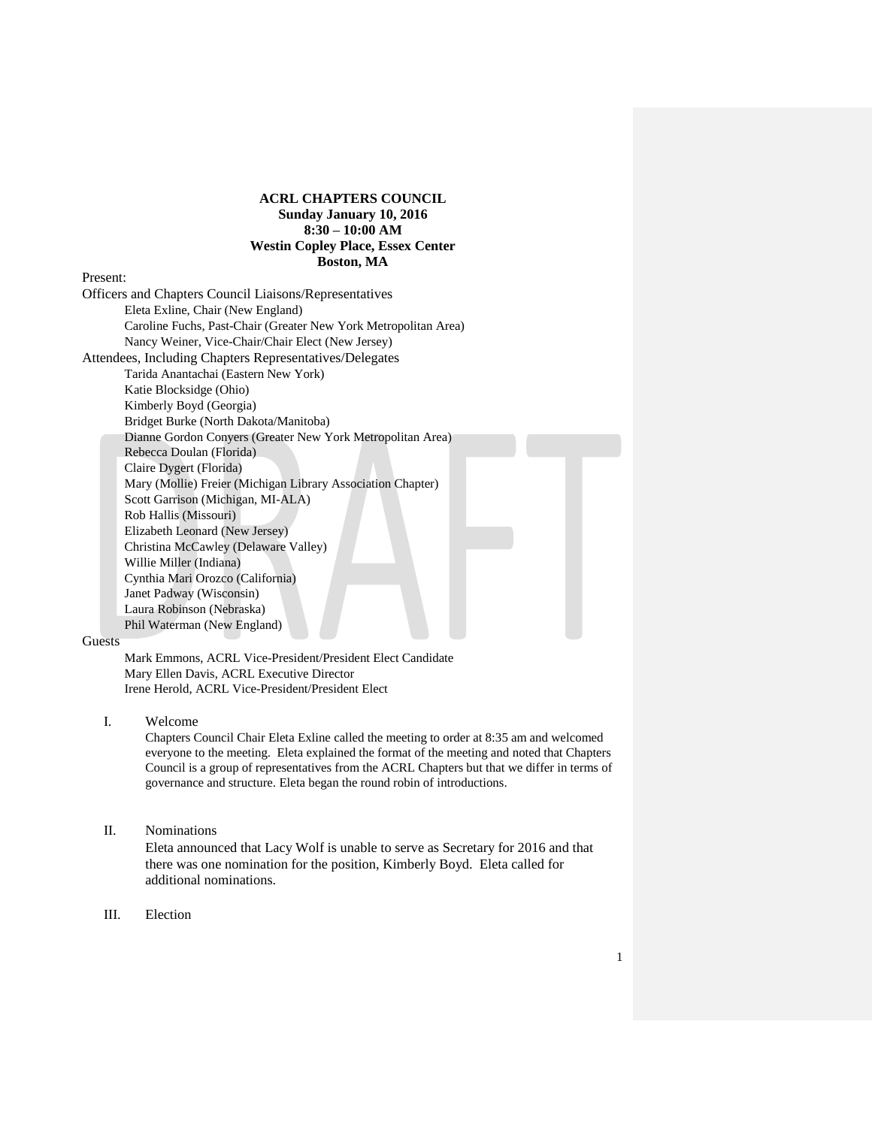# **ACRL CHAPTERS COUNCIL Sunday January 10, 2016 8:30 – 10:00 AM Westin Copley Place, Essex Center Boston, MA**

Present:

Officers and Chapters Council Liaisons/Representatives Eleta Exline, Chair (New England) Caroline Fuchs, Past-Chair (Greater New York Metropolitan Area) Nancy Weiner, Vice-Chair/Chair Elect (New Jersey) Attendees, Including Chapters Representatives/Delegates Tarida Anantachai (Eastern New York) Katie Blocksidge (Ohio) Kimberly Boyd (Georgia) Bridget Burke (North Dakota/Manitoba) Dianne Gordon Conyers (Greater New York Metropolitan Area) Rebecca Doulan (Florida) Claire Dygert (Florida) Mary (Mollie) Freier (Michigan Library Association Chapter) Scott Garrison (Michigan, MI-ALA) Rob Hallis (Missouri) Elizabeth Leonard (New Jersey) Christina McCawley (Delaware Valley) Willie Miller (Indiana) Cynthia Mari Orozco (California) Janet Padway (Wisconsin) Laura Robinson (Nebraska) Phil Waterman (New England)

#### **Guests**

Mark Emmons, ACRL Vice-President/President Elect Candidate Mary Ellen Davis, ACRL Executive Director Irene Herold, ACRL Vice-President/President Elect

I. Welcome

Chapters Council Chair Eleta Exline called the meeting to order at 8:35 am and welcomed everyone to the meeting. Eleta explained the format of the meeting and noted that Chapters Council is a group of representatives from the ACRL Chapters but that we differ in terms of governance and structure. Eleta began the round robin of introductions.

## II. Nominations

Eleta announced that Lacy Wolf is unable to serve as Secretary for 2016 and that there was one nomination for the position, Kimberly Boyd. Eleta called for additional nominations.

III. Election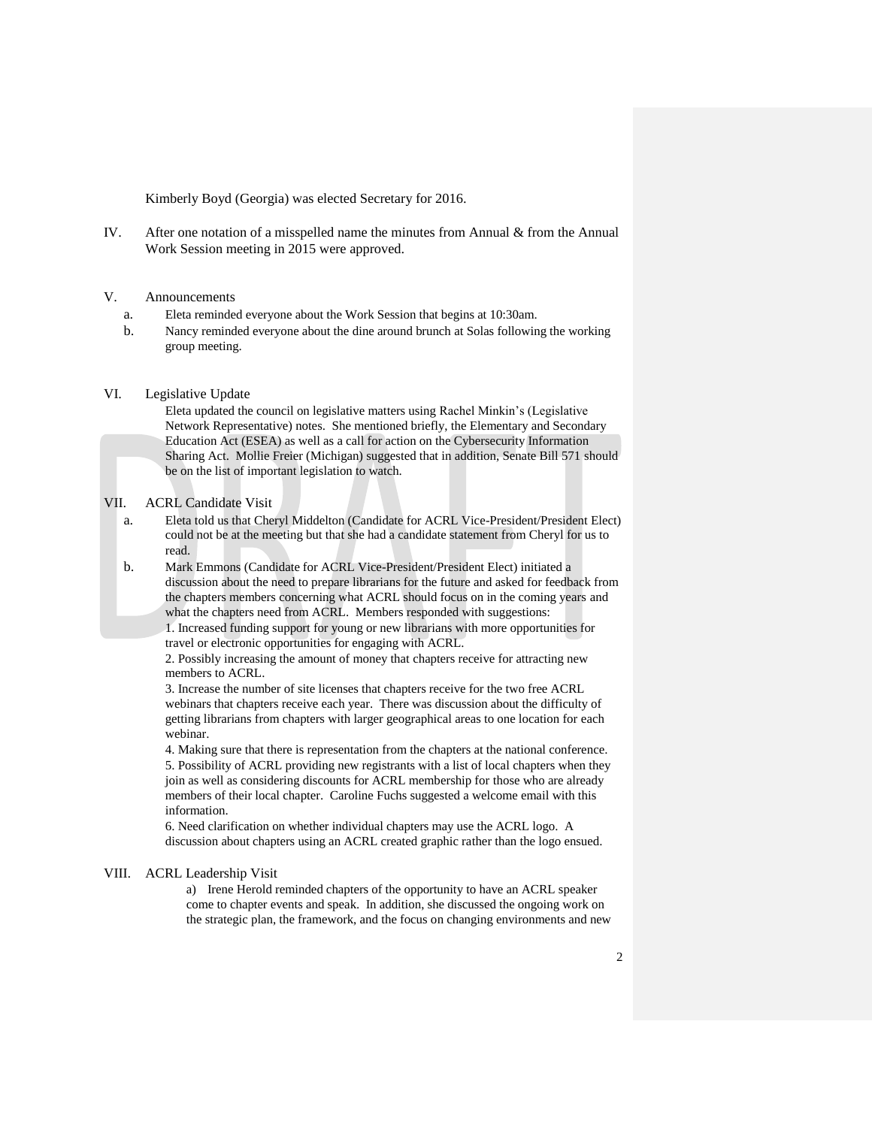Kimberly Boyd (Georgia) was elected Secretary for 2016.

IV. After one notation of a misspelled name the minutes from Annual & from the Annual Work Session meeting in 2015 were approved.

### V. Announcements

- a. Eleta reminded everyone about the Work Session that begins at 10:30am.
- b. Nancy reminded everyone about the dine around brunch at Solas following the working group meeting.

#### VI. Legislative Update

Eleta updated the council on legislative matters using Rachel Minkin's (Legislative Network Representative) notes. She mentioned briefly, the Elementary and Secondary Education Act (ESEA) as well as a call for action on the Cybersecurity Information Sharing Act. Mollie Freier (Michigan) suggested that in addition, Senate Bill 571 should be on the list of important legislation to watch.

#### VII. ACRL Candidate Visit

a. Eleta told us that Cheryl Middelton (Candidate for ACRL Vice-President/President Elect) could not be at the meeting but that she had a candidate statement from Cheryl for us to read.

b. Mark Emmons (Candidate for ACRL Vice-President/President Elect) initiated a discussion about the need to prepare librarians for the future and asked for feedback from the chapters members concerning what ACRL should focus on in the coming years and what the chapters need from ACRL. Members responded with suggestions: 1. Increased funding support for young or new librarians with more opportunities for travel or electronic opportunities for engaging with ACRL.

2. Possibly increasing the amount of money that chapters receive for attracting new members to ACRL.

3. Increase the number of site licenses that chapters receive for the two free ACRL webinars that chapters receive each year. There was discussion about the difficulty of getting librarians from chapters with larger geographical areas to one location for each webinar.

4. Making sure that there is representation from the chapters at the national conference. 5. Possibility of ACRL providing new registrants with a list of local chapters when they join as well as considering discounts for ACRL membership for those who are already members of their local chapter. Caroline Fuchs suggested a welcome email with this information.

6. Need clarification on whether individual chapters may use the ACRL logo. A discussion about chapters using an ACRL created graphic rather than the logo ensued.

#### VIII. ACRL Leadership Visit

a) Irene Herold reminded chapters of the opportunity to have an ACRL speaker come to chapter events and speak. In addition, she discussed the ongoing work on the strategic plan, the framework, and the focus on changing environments and new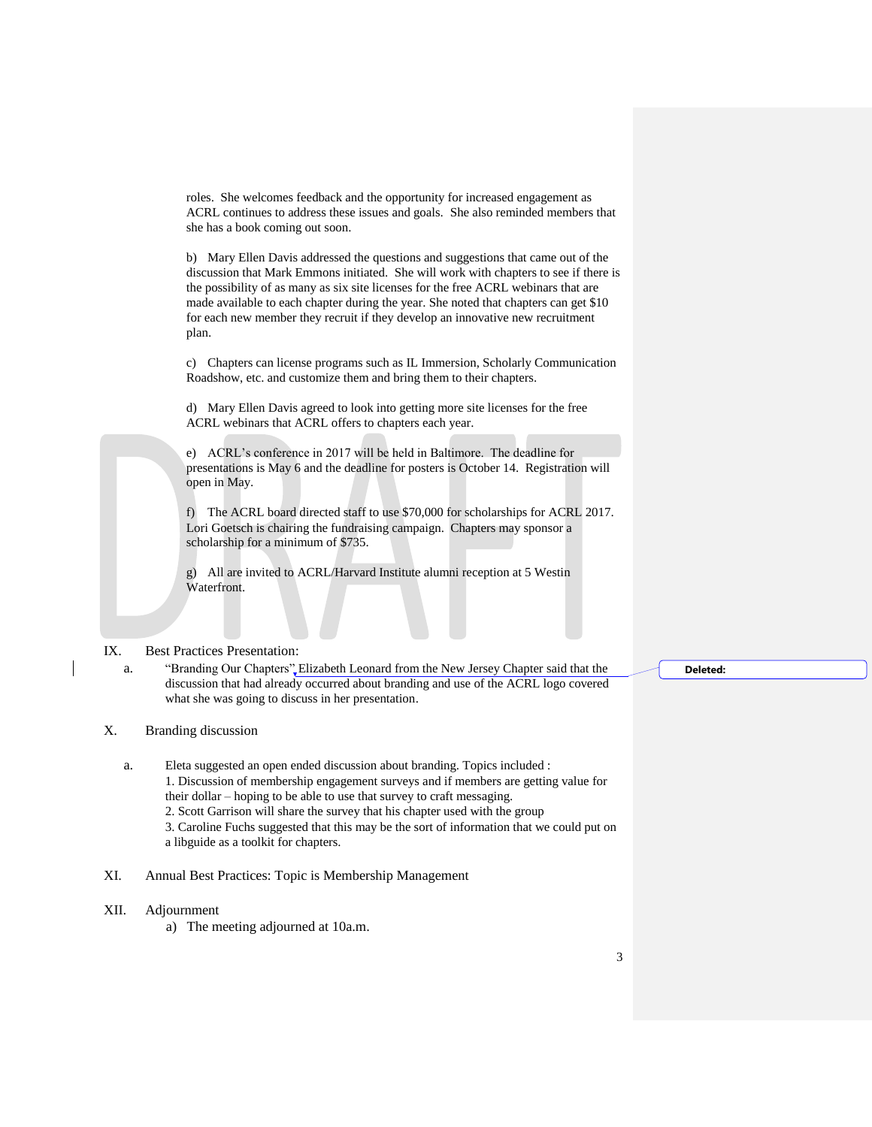roles. She welcomes feedback and the opportunity for increased engagement as ACRL continues to address these issues and goals. She also reminded members that she has a book coming out soon.

b) Mary Ellen Davis addressed the questions and suggestions that came out of the discussion that Mark Emmons initiated. She will work with chapters to see if there is the possibility of as many as six site licenses for the free ACRL webinars that are made available to each chapter during the year. She noted that chapters can get \$10 for each new member they recruit if they develop an innovative new recruitment plan.

c) Chapters can license programs such as IL Immersion, Scholarly Communication Roadshow, etc. and customize them and bring them to their chapters.

d) Mary Ellen Davis agreed to look into getting more site licenses for the free ACRL webinars that ACRL offers to chapters each year.

e) ACRL's conference in 2017 will be held in Baltimore. The deadline for presentations is May 6 and the deadline for posters is October 14. Registration will open in May.

f) The ACRL board directed staff to use \$70,000 for scholarships for ACRL 2017. Lori Goetsch is chairing the fundraising campaign. Chapters may sponsor a scholarship for a minimum of \$735.

g) All are invited to ACRL/Harvard Institute alumni reception at 5 Westin Waterfront.

## IX. Best Practices Presentation:

a. "Branding Our Chapters" Elizabeth Leonard from the New Jersey Chapter said that the discussion that had already occurred about branding and use of the ACRL logo covered what she was going to discuss in her presentation.

# X. Branding discussion

- a. Eleta suggested an open ended discussion about branding. Topics included : 1. Discussion of membership engagement surveys and if members are getting value for their dollar – hoping to be able to use that survey to craft messaging. 2. Scott Garrison will share the survey that his chapter used with the group 3. Caroline Fuchs suggested that this may be the sort of information that we could put on a libguide as a toolkit for chapters.
- XI. Annual Best Practices: Topic is Membership Management
- XII. Adjournment
	- a) The meeting adjourned at 10a.m.

**Deleted:**